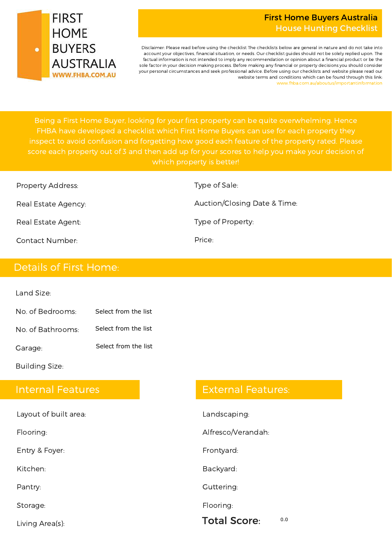

#### First Home Buyers Australia House Hunting Checklist

Disclaimer: Please read before using the checklist The checklists below are general in nature and do not take into account your objectives, financial situation, or needs. Our checklist guides should not be solely replied upon. The factual information is not intended to imply any recommendation or opinion about a financial product or be the sole factor in your decision making process. Before making any financial or property decisions you should consider your personal circumstances and seek professional advice. Before using our checklists and website please read our website terms and conditions which can be found through this link: www.fhba.com.au/aboutus/importantinformation

inspect to avoid confusion and forgetting how good each feature of the property rated. Please which property is better!

| <b>Property Address:</b> | Type of Sale:                |
|--------------------------|------------------------------|
| Real Estate Agency:      | Auction/Closing Date & Time: |
| Real Estate Agent:       | Type of Property:            |
| <b>Contact Number:</b>   | Price:                       |

## Details of First Home:

Land Size:

| No. of Bedrooms:  | Select from the list |
|-------------------|----------------------|
| No. of Bathrooms: | Select from the list |

Garage: Select from the list

Building Size:

### Internal Features

| Living Area(s):       | <b>Total Score:</b> | 0.0 |
|-----------------------|---------------------|-----|
| Storage:              | Flooring:           |     |
| Pantry:               | Guttering:          |     |
| Kitchen:              | Backyard:           |     |
| Entry & Foyer:        | Frontyard:          |     |
| Flooring:             | Alfresco/Verandah:  |     |
| Layout of built area: | Landscaping:        |     |

## External Features: